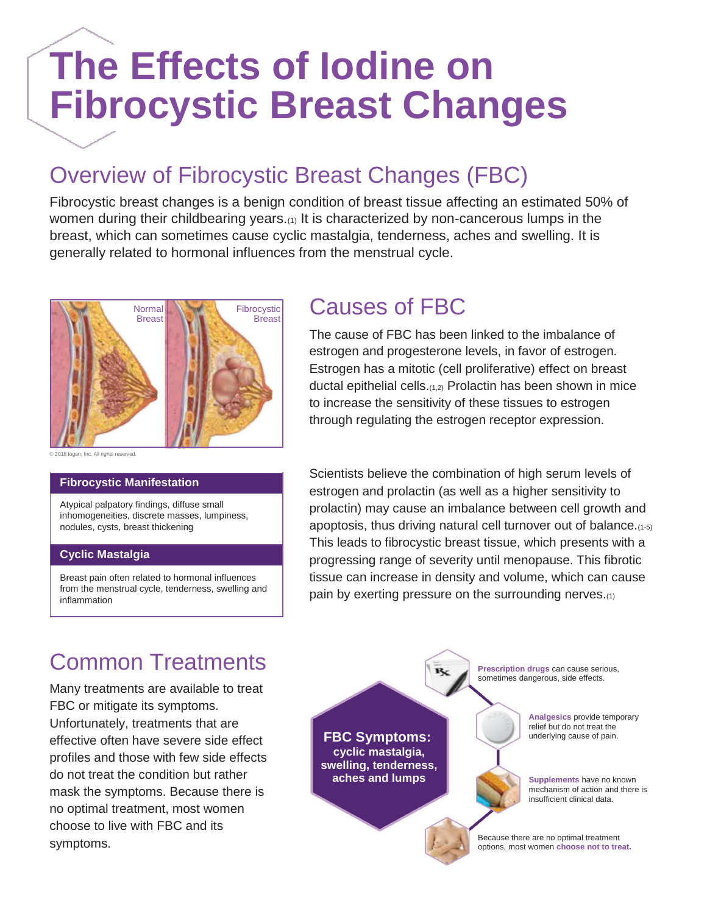## **The Effects of Iodine on Fibrocystic Breast Changes**

## Overview of Fibrocystic Breast Changes (FBC)

Fibrocystic breast changes is a benign condition of breast tissue affecting an estimated 50% of women during their childbearing years.(1) It is characterized by non-cancerous lumps in the breast, which can sometimes cause cyclic mastalgia, tenderness, aches and swelling. It is generally related to hormonal influences from the menstrual cycle.



### **Fibrocystic Manifestation**

Atypical palpatory findings, diffuse small inhomogeneities, discrete masses, lumpiness, nodules, cysts, breast thickening

### **Cyclic Mastalgia**

Breast pain often related to hormonal influences from the menstrual cycle, tenderness, swelling and inflammation

### Causes of FBC

The cause of FBC has been linked to the imbalance of estrogen and progesterone levels, in favor of estrogen. Estrogen has a mitotic (cell proliferative) effect on breast ductal epithelial cells.(1,2) Prolactin has been shown in mice to increase the sensitivity of these tissues to estrogen through regulating the estrogen receptor expression.

Scientists believe the combination of high serum levels of estrogen and prolactin (as well as a higher sensitivity to prolactin) may cause an imbalance between cell growth and apoptosis, thus driving natural cell turnover out of balance.(1-5) This leads to fibrocystic breast tissue, which presents with a progressing range of severity until menopause. This fibrotic tissue can increase in density and volume, which can cause pain by exerting pressure on the surrounding nerves.(1)

### Common Treatments

Many treatments are available to treat FBC or mitigate its symptoms. Unfortunately, treatments that are effective often have severe side effect profiles and those with few side effects do not treat the condition but rather mask the symptoms. Because there is no optimal treatment, most women choose to live with FBC and its symptoms.

**Prescription drugs** can cause serious, sometimes dangerous, side effects.

**FBC Symptoms: cyclic mastalgia, swelling, tenderness, aches and lumps**

**Analgesics** provide temporary relief but do not treat the underlying cause of pain.



**Supplements** have no known mechanism of action and there is insufficient clinical data.

Because there are no optimal treatment options, most women **choose not to treat.**